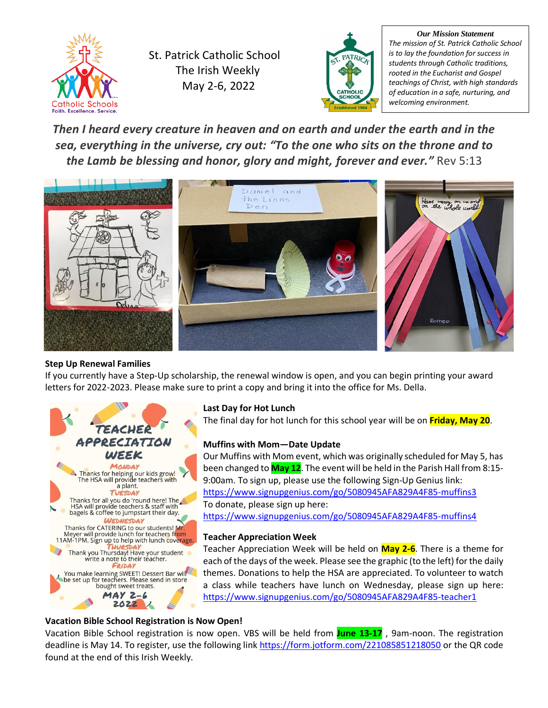

St. Patrick Catholic School The Irish Weekly May 2-6, 2022



*Our Mission Statement The mission of St. Patrick Catholic School is to lay the foundation for success in students through Catholic traditions, rooted in the Eucharist and Gospel teachings of Christ, with high standards of education in a safe, nurturing, and welcoming environment.*

*Then I heard every creature in heaven and on earth and under the earth and in the sea, everything in the universe, cry out: "To the one who sits on the throne and to the Lamb be blessing and honor, glory and might, forever and ever."* Rev 5:13



### **Step Up Renewal Families**

If you currently have a Step-Up scholarship, the renewal window is open, and you can begin printing your award letters for 2022-2023. Please make sure to print a copy and bring it into the office for Ms. Della.



### **Last Day for Hot Lunch**

The final day for hot lunch for this school year will be on **Friday, May 20**.

### **Muffins with Mom—Date Update**

Our Muffins with Mom event, which was originally scheduled for May 5, has been changed to **May 12**. The event will be held in the Parish Hall from 8:15- 9:00am. To sign up, please use the following Sign-Up Genius link: <https://www.signupgenius.com/go/5080945AFA829A4F85-muffins3> To donate, please sign up here:

<https://www.signupgenius.com/go/5080945AFA829A4F85-muffins4>

### **Teacher Appreciation Week**

Teacher Appreciation Week will be held on **May 2-6**. There is a theme for each of the days of the week. Please see the graphic (to the left) for the daily themes. Donations to help the HSA are appreciated. To volunteer to watch a class while teachers have lunch on Wednesday, please sign up here: <https://www.signupgenius.com/go/5080945AFA829A4F85-teacher1>

### **Vacation Bible School Registration is Now Open!**

Vacation Bible School registration is now open. VBS will be held from **June 13-17** , 9am-noon. The registration deadline is May 14. To register, use the following link <https://form.jotform.com/221085851218050> or the QR code found at the end of this Irish Weekly.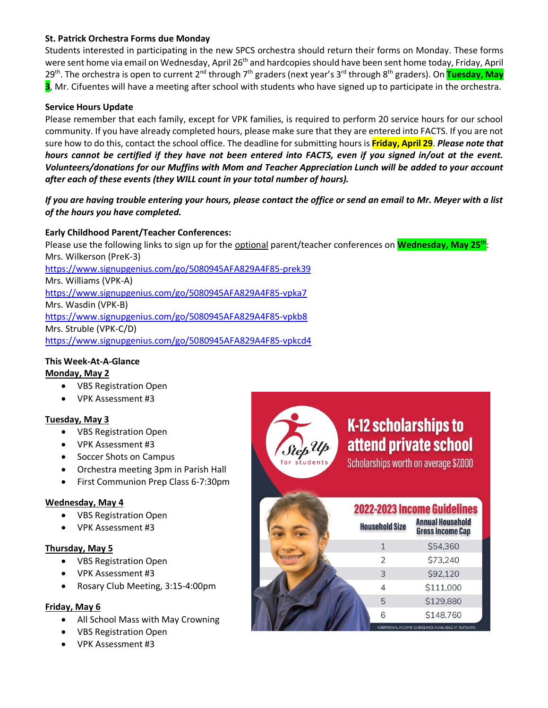### **St. Patrick Orchestra Forms due Monday**

Students interested in participating in the new SPCS orchestra should return their forms on Monday. These forms were sent home via email on Wednesday, April 26<sup>th</sup> and hardcopies should have been sent home today, Friday, April 29<sup>th</sup>. The orchestra is open to current 2<sup>nd</sup> through 7<sup>th</sup> graders (next year's 3<sup>rd</sup> through 8<sup>th</sup> graders). On <mark>Tuesday, May</mark> **3**, Mr. Cifuentes will have a meeting after school with students who have signed up to participate in the orchestra.

### **Service Hours Update**

Please remember that each family, except for VPK families, is required to perform 20 service hours for our school community. If you have already completed hours, please make sure that they are entered into FACTS. If you are not sure how to do this, contact the school office. The deadline for submitting hours is **Friday, April 29**. *Please note that hours cannot be certified if they have not been entered into FACTS, even if you signed in/out at the event. Volunteers/donations for our Muffins with Mom and Teacher Appreciation Lunch will be added to your account after each of these events (they WILL count in your total number of hours).*

### *If you are having trouble entering your hours, please contact the office or send an email to Mr. Meyer with a list of the hours you have completed.*

### **Early Childhood Parent/Teacher Conferences:**

Please use the following links to sign up for the optional parent/teacher conferences on **Wednesday, May 25th**: Mrs. Wilkerson (PreK-3) <https://www.signupgenius.com/go/5080945AFA829A4F85-prek39> Mrs. Williams (VPK-A) <https://www.signupgenius.com/go/5080945AFA829A4F85-vpka7> Mrs. Wasdin (VPK-B) <https://www.signupgenius.com/go/5080945AFA829A4F85-vpkb8> Mrs. Struble (VPK-C/D) <https://www.signupgenius.com/go/5080945AFA829A4F85-vpkcd4>

### **This Week-At-A-Glance**

### **Monday, May 2**

- VBS Registration Open
- VPK Assessment #3

### **Tuesday, May 3**

- VBS Registration Open
- VPK Assessment #3
- Soccer Shots on Campus
- Orchestra meeting 3pm in Parish Hall
- First Communion Prep Class 6-7:30pm

### **Wednesday, May 4**

- VBS Registration Open
- VPK Assessment #3

### **Thursday, May 5**

- VBS Registration Open
- VPK Assessment #3
- Rosary Club Meeting, 3:15-4:00pm

### **Friday, May 6**

- All School Mass with May Crowning
- VBS Registration Open
- VPK Assessment #3



# **K-12 scholarships to** attend private school

Scholarships worth on average \$7,000

## **2022-2023 Income Guidelines**

| <b>Household Size</b>    | Annual Housenoid<br><b>Gross Income Cap</b>        |
|--------------------------|----------------------------------------------------|
|                          | \$54,360                                           |
| $\overline{\mathcal{L}}$ | \$73,240                                           |
| 3                        | \$92,120                                           |
|                          | \$111,000                                          |
| 5                        | \$129,880                                          |
| 6                        | \$148,760                                          |
|                          | ADDITIONAL INCOME GUIDELINES AVAILABLE AT SUFS.ORG |